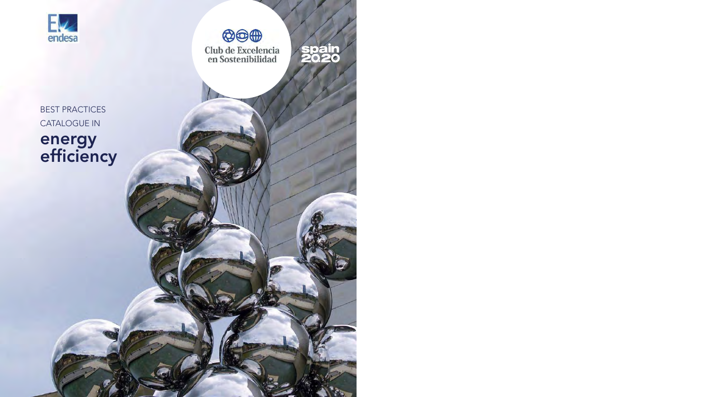



**Club de Excelencia**<br>en Sostenibilidad



BEST PRACTICES CATALOGUE IN energy efficiency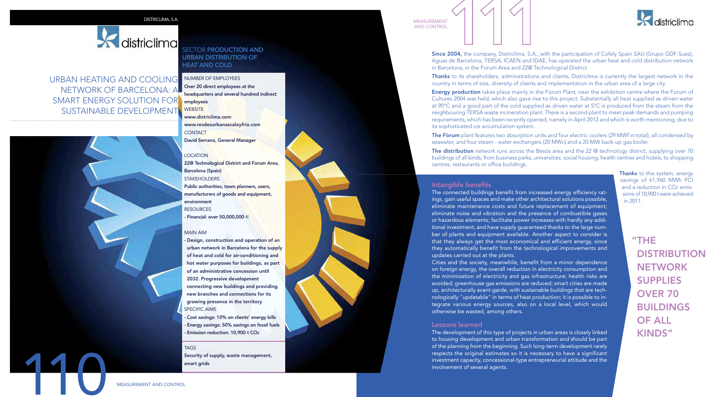# districlima

URBAN HEATING AND COOLING NUMBER OF EMPLOYEES NETWORK OF BARCELONA: A SMART ENERGY SOLUTION FOR SUSTAINABLE DEVELOPMENT employees



## SECTOR **PRODUCTION AND** URBAN DISTRIBUTION OF HEAT AND COLD

Over 20 direct employees at the headquarters and several hundred indirect

**WEBSITE** www.districlima.com www.resdesurbanascaloyfrio.com **CONTACT** David Serrano, General Manager

## LOCATION

22@ Technological District and Forum Area, Barcelona (Spain) STAKEHOLDERS Public authorities, town planners, users, manufacturers of goods and equipment, environment RESOURCES - Financial: over 50,000,000  $\in$ 

#### MAIN AIM

- Design, construction and operation of an urban network in Barcelona for the supply of heat and cold for air-conditioning and hot water purposes for buildings, as part of an administrative concession until 2032. Progressive development connecting new buildings and providing new branches and connections for its growing presence in the territory SPECIFIC AIMS

- Cost savings: 10% on clients' energy bills - Energy savings: 50% savings on fossil fuels - Emission reduction: 10,900 t CO<sub>2</sub>

## **TAGS**

Security of supply, waste management, smart grids

AND CONTROL



Since 2004, the company, Districlima, S.A., with the participation of Cofely Spain SAU (Grupo GDF-Suez), Aguas de Barcelona, TERSA, ICAEN and IDAE, has operated the urban heat and cold distribution network in Barcelona, in the Forum Area and 22@ Technological District. MEASUREMENT<br>AND CONTROL<br>Since 2004, the company, Districtima, S.A., w

Thanks to its shareholders, administrations and clients, Districlima is currently the largest network in the country in terms of size, diversity of clients and implementation in the urban area of a large city.

Energy production takes place mainly in the Fòrum Plant, near the exhibition centre where the Forum of Cultures 2004 was held, which also gave rise to this project. Substantially all heat supplied as driven water at 90°C and a good part of the cold supplied as driven water at 5°C is produced from the steam from the neighbouring TERSA waste incineration plant. There is a second plant to meet peak demands and pumping requirements, which has been recently opened, namely in April 2012 and which is worth mentioning, due to its sophisticated ice accumulation system.

The Fòrum plant features two absorption units and four electric coolers (29 MWf in total), all condensed by seawater, and four steam - water exchangers (20 MWc) and a 20 MW back-up gas boiler.

The distribution network runs across the Besòs area and the 22 @ technology district, supplying over 70 buildings of all kinds, from business parks, universities, social housing, health centres and hotels, to shopping centres, restaurants or office buildings.

## Intangible benefits

The connected buildings benefit from increased energy efficiency ratings, gain useful spaces and make other architectural solutions possible, eliminate maintenance costs and future replacement of equipment; eliminate noise and vibration and the presence of combustible gases or hazardous elements; facilitate power increases with hardly any additional investment; and have supply guaranteed thanks to the large number of plants and equipment available. Another aspect to consider is that they always get the most economical and efficient energy, since they automatically benefit from the technological improvements and updates carried out at the plants.

Cities and the society, meanwhile, benefit from a minor dependence on foreign energy, the overall reduction in electricity consumption and the minimization of electricity and gas infrastructure; health risks are avoided; greenhouse gas emissions are reduced; smart cities are made up, architecturally avant-garde, with sustainable buildings that are technologically "updatable" in terms of heat production; it is possible to integrate various energy sources, also on a local level, which would otherwise be wasted, among others.

## Lessons learned

The development of this type of projects in urban areas is closely linked to housing development and urban transformation and should be part of the planning from the beginning. Such long-term development rarely respects the original estimates so it is necessary to have a significant investment capacity, concessional-type entrepreneurial attitude and the involvement of several agents.

Thanks to this system, energy savings of 61,960 MWh PCI and a reduction in CO<sub>2</sub> emissions of 10,900 t were achieved in 2011.

> "THE **DISTRIBUTION NETWORK** SUPPLIES OVER 70 BUILDINGS OF ALL KINDS"